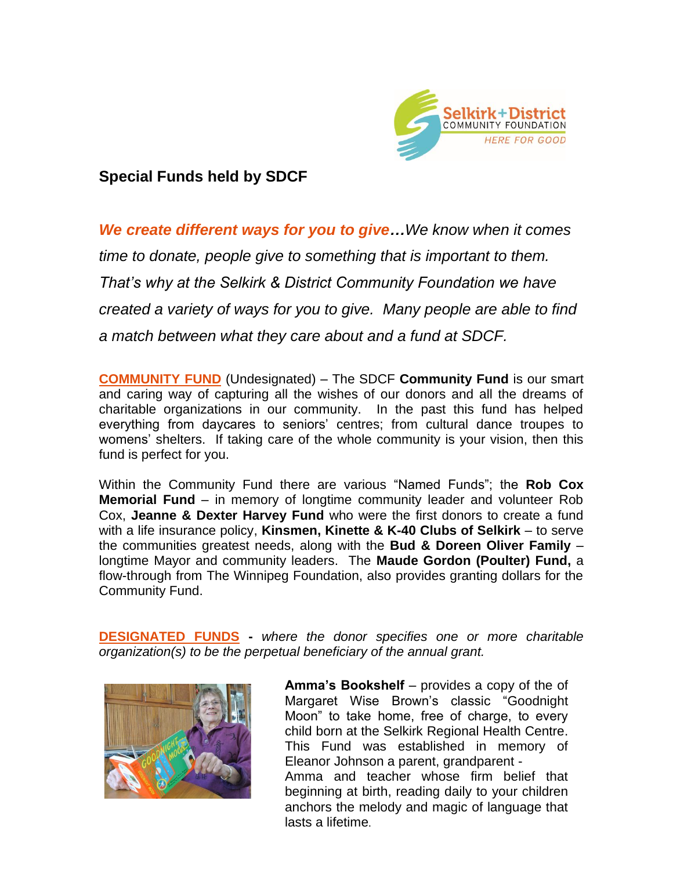

## **Special Funds held by SDCF**

*We create different ways for you to give…We know when it comes time to donate, people give to something that is important to them. That's why at the Selkirk & District Community Foundation we have created a variety of ways for you to give. Many people are able to find a match between what they care about and a fund at SDCF.*

**COMMUNITY FUND** (Undesignated) – The SDCF **Community Fund** is our smart and caring way of capturing all the wishes of our donors and all the dreams of charitable organizations in our community. In the past this fund has helped everything from daycares to seniors' centres; from cultural dance troupes to womens' shelters. If taking care of the whole community is your vision, then this fund is perfect for you.

Within the Community Fund there are various "Named Funds"; the **Rob Cox Memorial Fund** – in memory of longtime community leader and volunteer Rob Cox, **Jeanne & Dexter Harvey Fund** who were the first donors to create a fund with a life insurance policy, **Kinsmen, Kinette & K-40 Clubs of Selkirk** – to serve the communities greatest needs, along with the **Bud & Doreen Oliver Family** – longtime Mayor and community leaders. The **Maude Gordon (Poulter) Fund,** a flow-through from The Winnipeg Foundation, also provides granting dollars for the Community Fund.

**DESIGNATED FUNDS -** *where the donor specifies one or more charitable organization(s) to be the perpetual beneficiary of the annual grant.* 



1 anchors the melody and magic of language that **Amma's Bookshelf** – provides a copy of the of Margaret Wise Brown's classic "Goodnight Moon" to take home, free of charge, to every child born at the Selkirk Regional Health Centre. This Fund was established in memory of Eleanor Johnson a parent, grandparent - Amma and teacher whose firm belief that beginning at birth, reading daily to your children lasts a lifetime.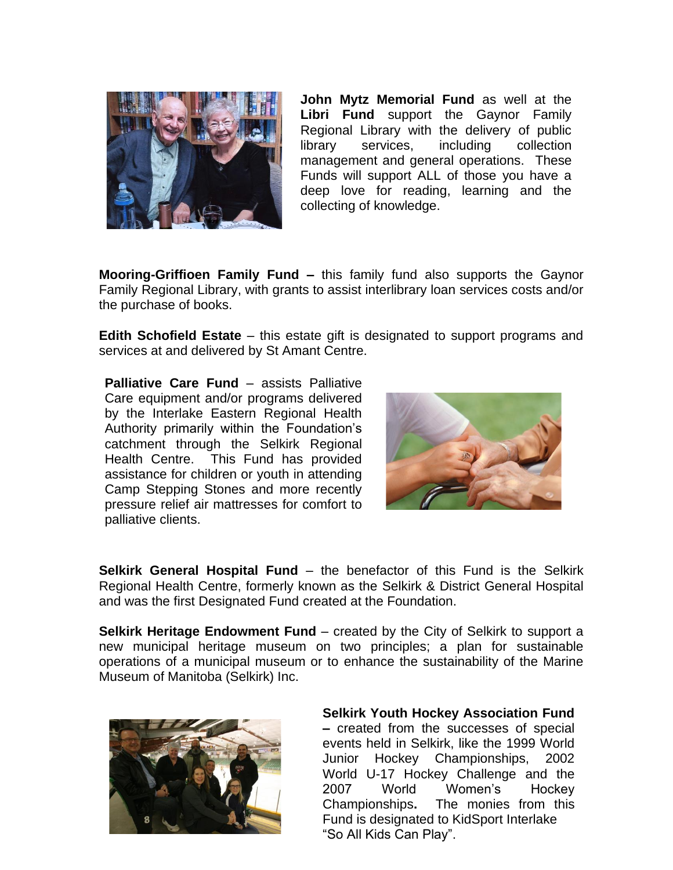

**John Mytz Memorial Fund** as well at the **Libri Fund** support the Gaynor Family Regional Library with the delivery of public library services, including collection management and general operations. These Funds will support ALL of those you have a deep love for reading, learning and the collecting of knowledge.

**Mooring-Griffioen Family Fund –** this family fund also supports the Gaynor Family Regional Library, with grants to assist interlibrary loan services costs and/or the purchase of books.

**Edith Schofield Estate** – this estate gift is designated to support programs and services at and delivered by St Amant Centre.

**Palliative Care Fund** – assists Palliative Care equipment and/or programs delivered by the Interlake Eastern Regional Health Authority primarily within the Foundation's catchment through the Selkirk Regional Health Centre. This Fund has provided assistance for children or youth in attending Camp Stepping Stones and more recently pressure relief air mattresses for comfort to palliative clients.



**Selkirk General Hospital Fund** – the benefactor of this Fund is the Selkirk Regional Health Centre, formerly known as the Selkirk & District General Hospital and was the first Designated Fund created at the Foundation.

**Selkirk Heritage Endowment Fund** – created by the City of Selkirk to support a new municipal heritage museum on two principles; a plan for sustainable operations of a municipal museum or to enhance the sustainability of the Marine Museum of Manitoba (Selkirk) Inc.



**Selkirk Youth Hockey Association Fund –** created from the successes of special

Championships. events held in Selkirk, like the 1999 World Junior Hockey Championships, 2002 World U-17 Hockey Challenge and the 2007 World Women's Hockey The monies from this Fund is designated to KidSport Interlake "So All Kids Can Play".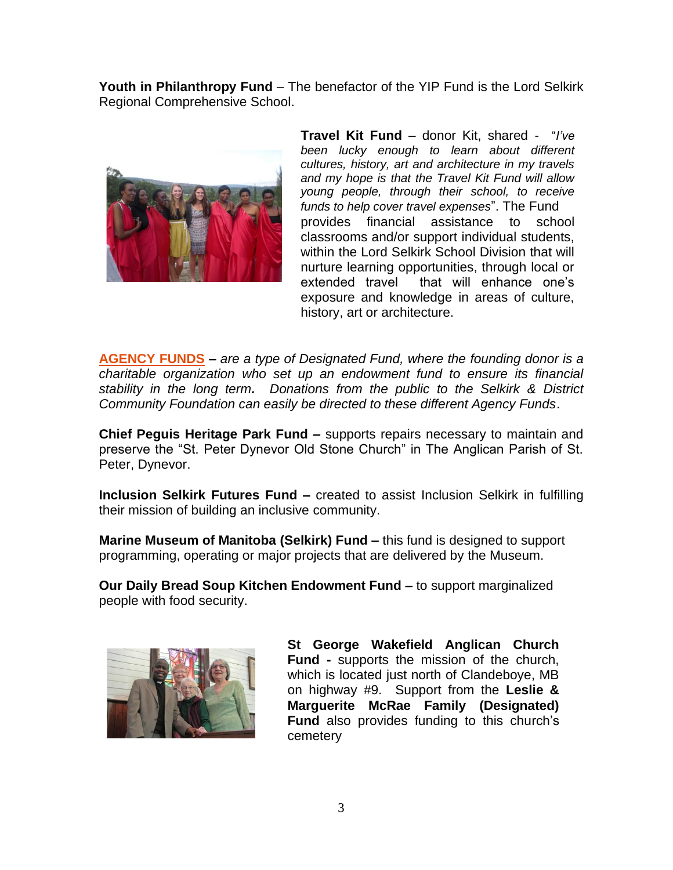**Youth in Philanthropy Fund** – The benefactor of the YIP Fund is the Lord Selkirk Regional Comprehensive School.



**Travel Kit Fund** – donor Kit, shared - "*I've been lucky enough to learn about different cultures, history, art and architecture in my travels and my hope is that the Travel Kit Fund will allow young people, through their school, to receive funds to help cover travel expenses*". The Fund provides financial assistance to school classrooms and/or support individual students, within the Lord Selkirk School Division that will nurture learning opportunities, through local or extended travel that will enhance one's exposure and knowledge in areas of culture, history, art or architecture.

**AGENCY FUNDS –** *are a type of Designated Fund, where the founding donor is a charitable organization who set up an endowment fund to ensure its financial stability in the long term. Donations from the public to the Selkirk & District Community Foundation can easily be directed to these different Agency Funds*.

**Chief Peguis Heritage Park Fund –** supports repairs necessary to maintain and preserve the "St. Peter Dynevor Old Stone Church" in The Anglican Parish of St. Peter, Dynevor.

**Inclusion Selkirk Futures Fund –** created to assist Inclusion Selkirk in fulfilling their mission of building an inclusive community.

**Marine Museum of Manitoba (Selkirk) Fund –** this fund is designed to support programming, operating or major projects that are delivered by the Museum.

**Our Daily Bread Soup Kitchen Endowment Fund –** to support marginalized people with food security.



**St George Wakefield Anglican Church Fund -** supports the mission of the church, which is located just north of Clandeboye, MB on highway #9. Support from the **Leslie & Marguerite McRae Family (Designated) Fund** also provides funding to this church's cemetery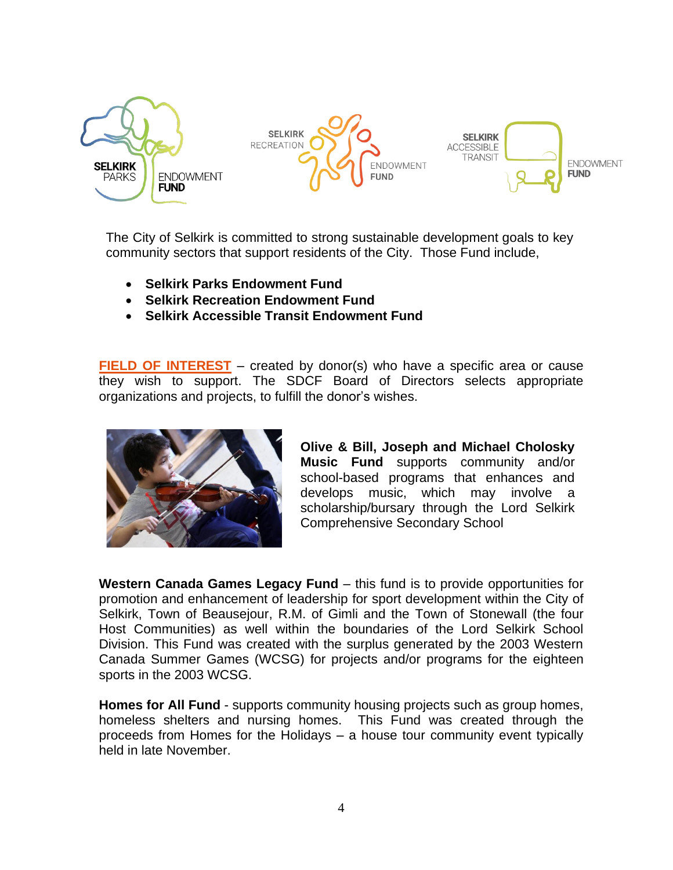

The City of Selkirk is committed to strong sustainable development goals to key community sectors that support residents of the City. Those Fund include,

- **Selkirk Parks Endowment Fund**
- **Selkirk Recreation Endowment Fund**
- **Selkirk Accessible Transit Endowment Fund**

**FIELD OF INTEREST** – created by donor(s) who have a specific area or cause they wish to support. The SDCF Board of Directors selects appropriate organizations and projects, to fulfill the donor's wishes.



**Olive & Bill, Joseph and Michael Cholosky Music Fund** supports community and/or school-based programs that enhances and develops music, which may involve a scholarship/bursary through the Lord Selkirk Comprehensive Secondary School

**Western Canada Games Legacy Fund** – this fund is to provide opportunities for promotion and enhancement of leadership for sport development within the City of Selkirk, Town of Beausejour, R.M. of Gimli and the Town of Stonewall (the four Host Communities) as well within the boundaries of the Lord Selkirk School Division. This Fund was created with the surplus generated by the 2003 Western Canada Summer Games (WCSG) for projects and/or programs for the eighteen sports in the 2003 WCSG.

**Homes for All Fund** - supports community housing projects such as group homes, homeless shelters and nursing homes. This Fund was created through the proceeds from Homes for the Holidays – a house tour community event typically held in late November.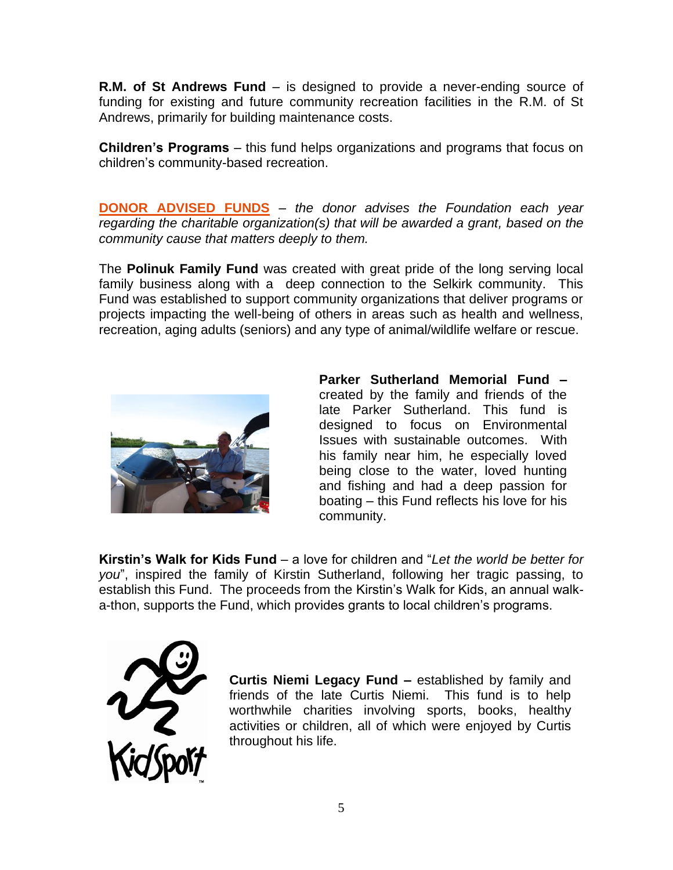**R.M. of St Andrews Fund** – is designed to provide a never-ending source of funding for existing and future community recreation facilities in the R.M. of St Andrews, primarily for building maintenance costs.

**Children's Programs** – this fund helps organizations and programs that focus on children's community-based recreation.

**DONOR ADVISED FUNDS** – *the donor advises the Foundation each year regarding the charitable organization(s) that will be awarded a grant, based on the community cause that matters deeply to them.*

The **Polinuk Family Fund** was created with great pride of the long serving local family business along with a deep connection to the Selkirk community. This Fund was established to support community organizations that deliver programs or projects impacting the well-being of others in areas such as health and wellness, recreation, aging adults (seniors) and any type of animal/wildlife welfare or rescue.



**Parker Sutherland Memorial Fund –** created by the family and friends of the late Parker Sutherland. This fund is designed to focus on Environmental Issues with sustainable outcomes. With his family near him, he especially loved being close to the water, loved hunting and fishing and had a deep passion for boating – this Fund reflects his love for his community.

**Kirstin's Walk for Kids Fund** – a love for children and "*Let the world be better for you*", inspired the family of Kirstin Sutherland, following her tragic passing, to establish this Fund. The proceeds from the Kirstin's Walk for Kids, an annual walka-thon, supports the Fund, which provides grants to local children's programs.



**Curtis Niemi Legacy Fund –** established by family and friends of the late Curtis Niemi. This fund is to help worthwhile charities involving sports, books, healthy activities or children, all of which were enjoyed by Curtis throughout his life.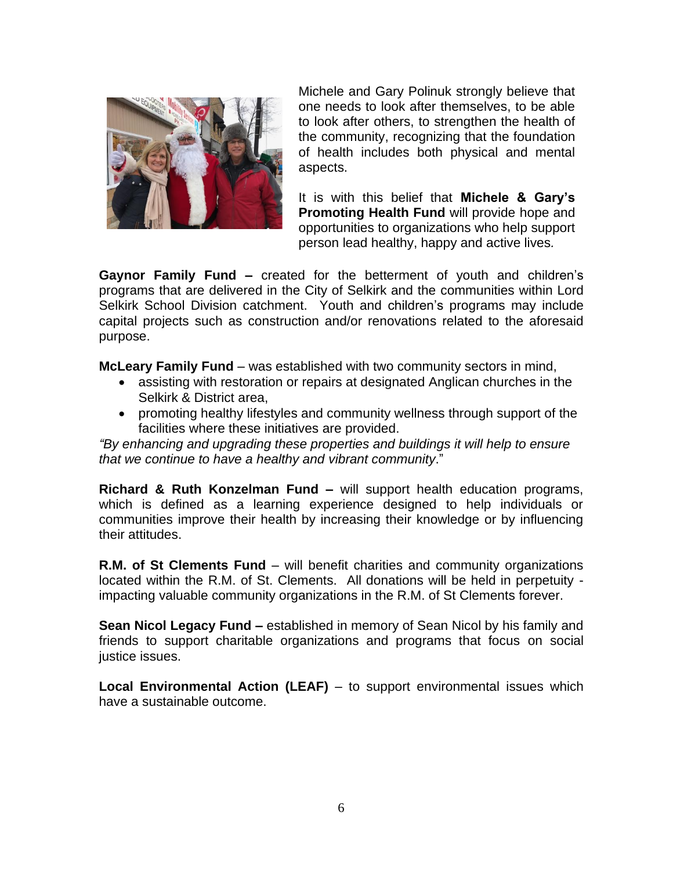

Michele and Gary Polinuk strongly believe that one needs to look after themselves, to be able to look after others, to strengthen the health of the community, recognizing that the foundation of health includes both physical and mental aspects.

It is with this belief that **Michele & Gary's Promoting Health Fund** will provide hope and opportunities to organizations who help support person lead healthy, happy and active lives*.*

**Gaynor Family Fund –** created for the betterment of youth and children's programs that are delivered in the City of Selkirk and the communities within Lord Selkirk School Division catchment. Youth and children's programs may include capital projects such as construction and/or renovations related to the aforesaid purpose.

**McLeary Family Fund** – was established with two community sectors in mind,

- assisting with restoration or repairs at designated Anglican churches in the Selkirk & District area,
- promoting healthy lifestyles and community wellness through support of the facilities where these initiatives are provided.

*"By enhancing and upgrading these properties and buildings it will help to ensure that we continue to have a healthy and vibrant community*."

**Richard & Ruth Konzelman Fund –** will support health education programs, which is defined as a learning experience designed to help individuals or communities improve their health by increasing their knowledge or by influencing their attitudes.

**R.M. of St Clements Fund** – will benefit charities and community organizations located within the R.M. of St. Clements. All donations will be held in perpetuity impacting valuable community organizations in the R.M. of St Clements forever.

**Sean Nicol Legacy Fund –** established in memory of Sean Nicol by his family and friends to support charitable organizations and programs that focus on social justice issues.

**Local Environmental Action (LEAF)** – to support environmental issues which have a sustainable outcome.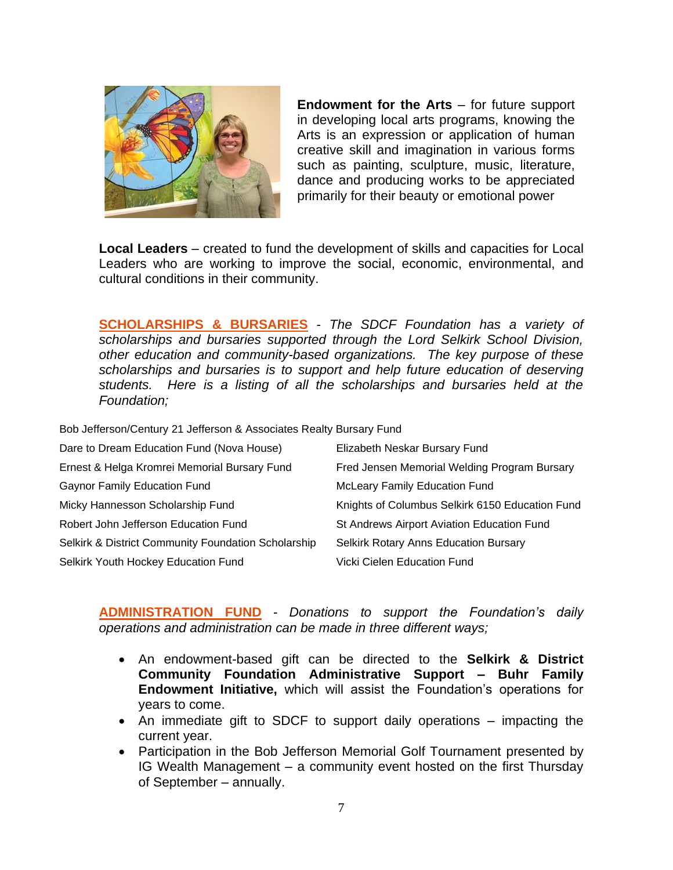

**Endowment for the Arts** – for future support in developing local arts programs, knowing the Arts is an expression or application of human creative skill and imagination in various forms such as painting, sculpture, music, literature, dance and producing works to be appreciated primarily for their beauty or emotional power

**Local Leaders** – created to fund the development of skills and capacities for Local Leaders who are working to improve the social, economic, environmental, and cultural conditions in their community.

**SCHOLARSHIPS & BURSARIES** - *The SDCF Foundation has a variety of scholarships and bursaries supported through the Lord Selkirk School Division, other education and community-based organizations. The key purpose of these scholarships and bursaries is to support and help future education of deserving students. Here is a listing of all the scholarships and bursaries held at the Foundation;*

Bob Jefferson/Century 21 Jefferson & Associates Realty Bursary Fund

| Dare to Dream Education Fund (Nova House)           | Elizabeth Neskar Bursary Fund                   |
|-----------------------------------------------------|-------------------------------------------------|
| Ernest & Helga Kromrei Memorial Bursary Fund        | Fred Jensen Memorial Welding Program Bursary    |
| <b>Gaynor Family Education Fund</b>                 | <b>McLeary Family Education Fund</b>            |
| Micky Hannesson Scholarship Fund                    | Knights of Columbus Selkirk 6150 Education Fund |
| Robert John Jefferson Education Fund                | St Andrews Airport Aviation Education Fund      |
| Selkirk & District Community Foundation Scholarship | <b>Selkirk Rotary Anns Education Bursary</b>    |
| Selkirk Youth Hockey Education Fund                 | Vicki Cielen Education Fund                     |

**ADMINISTRATION FUND** - *Donations to support the Foundation's daily operations and administration can be made in three different ways;*

- An endowment-based gift can be directed to the **Selkirk & District Community Foundation Administrative Support – Buhr Family Endowment Initiative,** which will assist the Foundation's operations for years to come.
- An immediate gift to SDCF to support daily operations impacting the current year.
- Participation in the Bob Jefferson Memorial Golf Tournament presented by IG Wealth Management – a community event hosted on the first Thursday of September – annually.